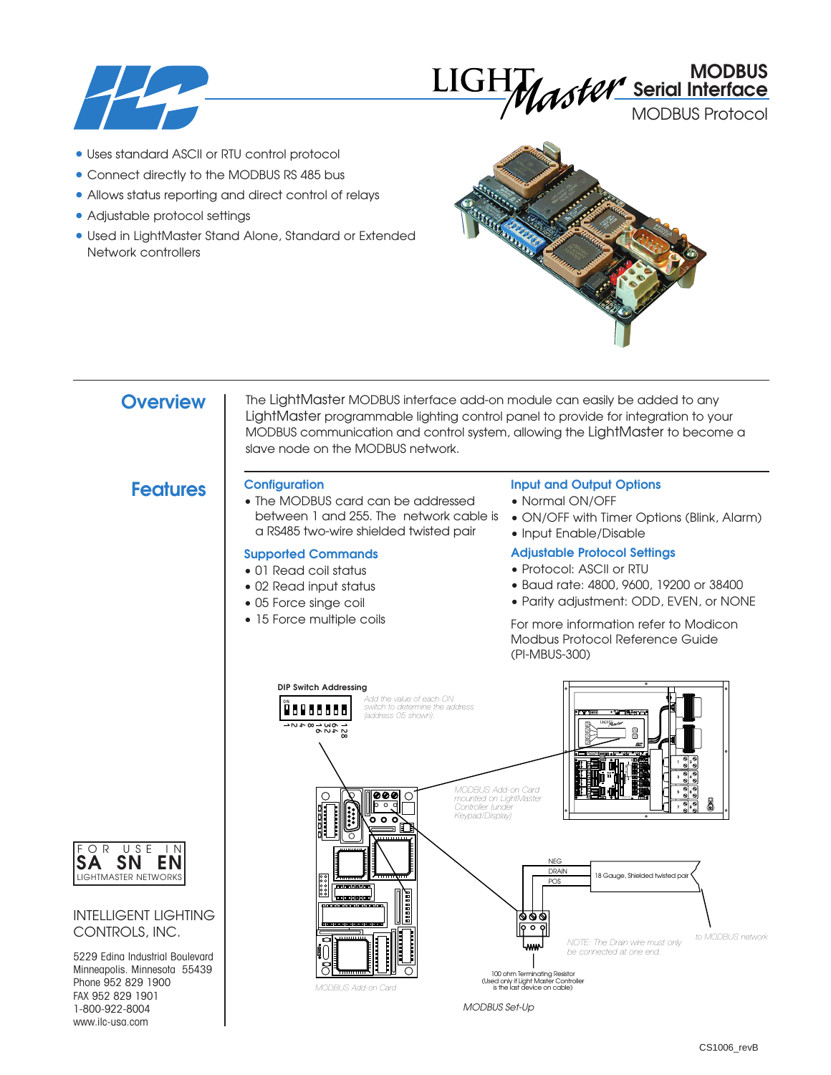



MODBUS Protocol

- Uses standard ASCII or RTU control protocol
- Connect directly to the MODBUS RS 485 bus
- Allows status reporting and direct control of relays
- Adjustable protocol settings
- Used in LightMaster Stand Alone, Standard or Extended Network controllers



## **Overview**

The LightMaster MODBUS interface add-on module can easily be added to any LightMaster programmable lighting control panel to provide for integration to your MODBUS communication and control system, allowing the LightMaster to become a slave node on the MODBUS network.

## **Features Configuration**

• The MODBUS card can be addressed between 1 and 255. The network cable is a RS485 two-wire shielded twisted pair

## **Supported Commands**

- 01 Read coil status
- 02 Read input status
- 05 Force singe coil
- 15 Force multiple coils

## **Input and Output Options**

- Normal ON/OFF
- ON/OFF with Timer Options (Blink, Alarm)
- Input Enable/Disable

## **Adjustable Protocol Settings**

- Protocol: ASCII or RTU
- Baud rate: 4800, 9600, 19200 or 38400
- Parity adjustment: ODD, EVEN, or NONE

For more information refer to Modicon Modbus Protocol Reference Guide (PI-MBUS-300)





## INTELLIGENT LIGHTING CONTROLS, INC.

5229 Edina Industrial Boulevard Minneapolis. Minnesota 55439 Phone 952 829 1900 FAX 952 829 1901 1-800-922-8004 www.ilc-usa.com